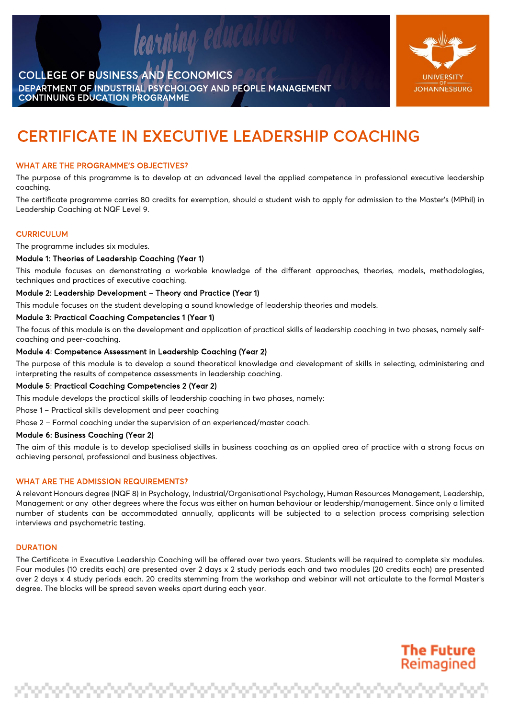

nino edul



**The Future** Reimagined

# CERTIFICATE IN EXECUTIVE LEADERSHIP COACHING

# WHAT ARE THE PROGRAMME'S OBJECTIVES?

The purpose of this programme is to develop at an advanced level the applied competence in professional executive leadership coaching.

The certificate programme carries 80 credits for exemption, should a student wish to apply for admission to the Master's (MPhil) in Leadership Coaching at NQF Level 9.

# **CURRICULUM**

The programme includes six modules.

# Module 1: Theories of Leadership Coaching (Year 1)

This module focuses on demonstrating a workable knowledge of the different approaches, theories, models, methodologies, techniques and practices of executive coaching.

#### Module 2: Leadership Development – Theory and Practice (Year 1)

This module focuses on the student developing a sound knowledge of leadership theories and models.

#### Module 3: Practical Coaching Competencies 1 (Year 1)

The focus of this module is on the development and application of practical skills of leadership coaching in two phases, namely selfcoaching and peer-coaching.

# Module 4: Competence Assessment in Leadership Coaching (Year 2)

The purpose of this module is to develop a sound theoretical knowledge and development of skills in selecting, administering and interpreting the results of competence assessments in leadership coaching.

# Module 5: Practical Coaching Competencies 2 (Year 2)

This module develops the practical skills of leadership coaching in two phases, namely:

Phase 1 – Practical skills development and peer coaching

Phase 2 – Formal coaching under the supervision of an experienced/master coach.

#### Module 6: Business Coaching (Year 2)

The aim of this module is to develop specialised skills in business coaching as an applied area of practice with a strong focus on achieving personal, professional and business objectives.

#### WHAT ARE THE ADMISSION REQUIREMENTS?

A relevant Honours degree (NQF 8) in Psychology, Industrial/Organisational Psychology, Human Resources Management, Leadership, Management or any other degrees where the focus was either on human behaviour or leadership/management. Since only a limited number of students can be accommodated annually, applicants will be subjected to a selection process comprising selection interviews and psychometric testing.

# **DURATION**

The Certificate in Executive Leadership Coaching will be offered over two years. Students will be required to complete six modules. Four modules (10 credits each) are presented over 2 days x 2 study periods each and two modules (20 credits each) are presented over 2 days x 4 study periods each. 20 credits stemming from the workshop and webinar will not articulate to the formal Master's degree. The blocks will be spread seven weeks apart during each year.